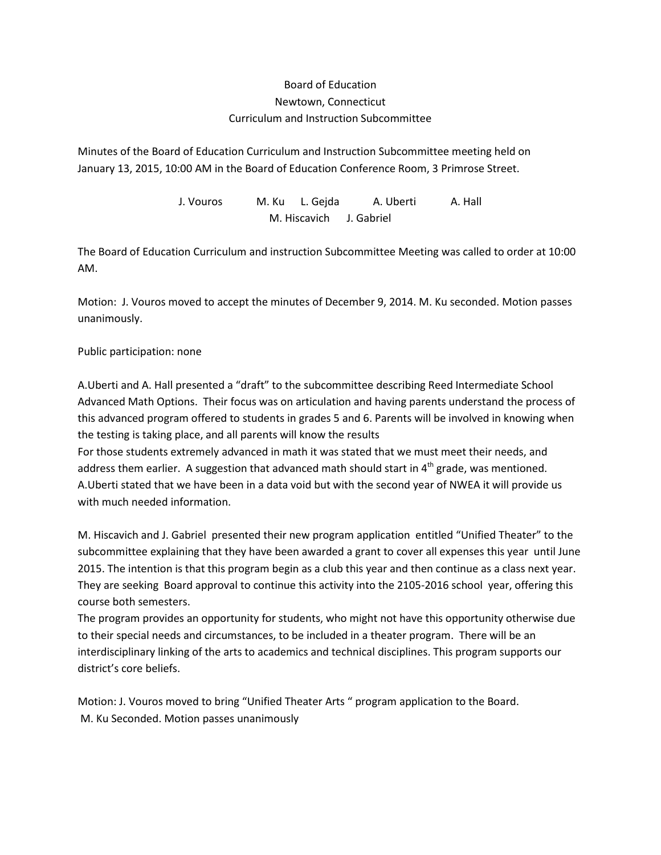## Board of Education Newtown, Connecticut Curriculum and Instruction Subcommittee

Minutes of the Board of Education Curriculum and Instruction Subcommittee meeting held on January 13, 2015, 10:00 AM in the Board of Education Conference Room, 3 Primrose Street.

> J. Vouros M. Ku L. Gejda A. Uberti A. Hall M. Hiscavich J. Gabriel

The Board of Education Curriculum and instruction Subcommittee Meeting was called to order at 10:00 AM.

Motion: J. Vouros moved to accept the minutes of December 9, 2014. M. Ku seconded. Motion passes unanimously.

## Public participation: none

A.Uberti and A. Hall presented a "draft" to the subcommittee describing Reed Intermediate School Advanced Math Options. Their focus was on articulation and having parents understand the process of this advanced program offered to students in grades 5 and 6. Parents will be involved in knowing when the testing is taking place, and all parents will know the results

For those students extremely advanced in math it was stated that we must meet their needs, and address them earlier. A suggestion that advanced math should start in  $4<sup>th</sup>$  grade, was mentioned. A.Uberti stated that we have been in a data void but with the second year of NWEA it will provide us with much needed information.

M. Hiscavich and J. Gabriel presented their new program application entitled "Unified Theater" to the subcommittee explaining that they have been awarded a grant to cover all expenses this year until June 2015. The intention is that this program begin as a club this year and then continue as a class next year. They are seeking Board approval to continue this activity into the 2105-2016 school year, offering this course both semesters.

The program provides an opportunity for students, who might not have this opportunity otherwise due to their special needs and circumstances, to be included in a theater program. There will be an interdisciplinary linking of the arts to academics and technical disciplines. This program supports our district's core beliefs.

Motion: J. Vouros moved to bring "Unified Theater Arts " program application to the Board. M. Ku Seconded. Motion passes unanimously